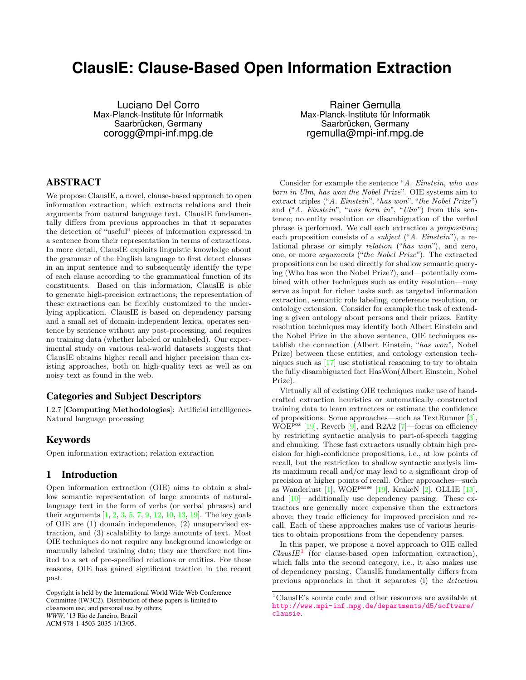# **ClausIE: Clause-Based Open Information Extraction**

Luciano Del Corro Max-Planck-Institute für Informatik Saarbrücken, Germany corogg@mpi-inf.mpg.de

Rainer Gemulla Max-Planck-Institute für Informatik Saarbrücken, Germany rgemulla@mpi-inf.mpg.de

## ABSTRACT

We propose ClausIE, a novel, clause-based approach to open information extraction, which extracts relations and their arguments from natural language text. ClausIE fundamentally differs from previous approaches in that it separates the detection of "useful" pieces of information expressed in a sentence from their representation in terms of extractions. In more detail, ClausIE exploits linguistic knowledge about the grammar of the English language to first detect clauses in an input sentence and to subsequently identify the type of each clause according to the grammatical function of its constituents. Based on this information, ClausIE is able to generate high-precision extractions; the representation of these extractions can be flexibly customized to the underlying application. ClausIE is based on dependency parsing and a small set of domain-independent lexica, operates sentence by sentence without any post-processing, and requires no training data (whether labeled or unlabeled). Our experimental study on various real-world datasets suggests that ClausIE obtains higher recall and higher precision than existing approaches, both on high-quality text as well as on noisy text as found in the web.

#### Categories and Subject Descriptors

I.2.7 [Computing Methodologies]: Artificial intelligence-Natural language processing

## Keywords

Open information extraction; relation extraction

## 1 Introduction

Open information extraction (OIE) aims to obtain a shallow semantic representation of large amounts of naturallanguage text in the form of verbs (or verbal phrases) and their arguments [\[1,](#page-10-0) [2,](#page-10-1) [3,](#page-10-2) [5,](#page-10-3) [7,](#page-10-4) [9,](#page-10-5) [12,](#page-10-6) [10,](#page-10-7) [13,](#page-10-8) [19\]](#page-10-9). The key goals of OIE are (1) domain independence, (2) unsupervised extraction, and (3) scalability to large amounts of text. Most OIE techniques do not require any background knowledge or manually labeled training data; they are therefore not limited to a set of pre-specified relations or entities. For these reasons, OIE has gained significant traction in the recent past.

Consider for example the sentence "A. Einstein, who was born in Ulm, has won the Nobel Prize". OIE systems aim to extract triples ("A. Einstein", "has won", "the Nobel Prize") and ("A. Einstein", "was born in", "Ulm") from this sentence; no entity resolution or disambiguation of the verbal phrase is performed. We call each extraction a proposition; each proposition consists of a *subject* ("A. Einstein"), a relational phrase or simply relation ("has won"), and zero, one, or more arguments ("the Nobel Prize"). The extracted propositions can be used directly for shallow semantic querying (Who has won the Nobel Prize?), and—potentially combined with other techniques such as entity resolution—may serve as input for richer tasks such as targeted information extraction, semantic role labeling, coreference resolution, or ontology extension. Consider for example the task of extending a given ontology about persons and their prizes. Entity resolution techniques may identify both Albert Einstein and the Nobel Prize in the above sentence, OIE techniques establish the connection (Albert Einstein, "has won", Nobel Prize) between these entities, and ontology extension techniques such as [\[17\]](#page-10-10) use statistical reasoning to try to obtain the fully disambiguated fact HasWon(Albert Einstein, Nobel Prize).

Virtually all of existing OIE techniques make use of handcrafted extraction heuristics or automatically constructed training data to learn extractors or estimate the confidence of propositions. Some approaches—such as TextRunner [\[3\]](#page-10-2), WOE<sup>pos</sup> [\[19\]](#page-10-9), Reverb [\[9\]](#page-10-5), and R2A2 [\[7\]](#page-10-4)—focus on efficiency by restricting syntactic analysis to part-of-speech tagging and chunking. These fast extractors usually obtain high precision for high-confidence propositions, i.e., at low points of recall, but the restriction to shallow syntactic analysis limits maximum recall and/or may lead to a significant drop of precision at higher points of recall. Other approaches—such as Wanderlust [\[1\]](#page-10-0), WOE<sup>parse</sup> [\[19\]](#page-10-9), KrakeN [\[2\]](#page-10-1), OLLIE [\[13\]](#page-10-8), and [\[10\]](#page-10-7)—additionally use dependency parsing. These extractors are generally more expensive than the extractors above; they trade efficiency for improved precision and recall. Each of these approaches makes use of various heuristics to obtain propositions from the dependency parses.

In this paper, we propose a novel approach to OIE called  $ClausIE<sup>1</sup>$  $ClausIE<sup>1</sup>$  $ClausIE<sup>1</sup>$  (for clause-based open information extraction), which falls into the second category, i.e., it also makes use of dependency parsing. ClausIE fundamentally differs from previous approaches in that it separates (i) the detection

Copyright is held by the International World Wide Web Conference Committee (IW3C2). Distribution of these papers is limited to classroom use, and personal use by others. *WWW*, '13 Rio de Janeiro, Brazil ACM 978-1-4503-2035-1/13/05.

<span id="page-0-0"></span> $^1\rm{ClausIE's}$  source code and other resources are available at [http://www.mpi-inf.mpg.de/departments/d5/software/](http://www.mpi-inf.mpg.de/departments/d5/software/clausie) [clausie](http://www.mpi-inf.mpg.de/departments/d5/software/clausie).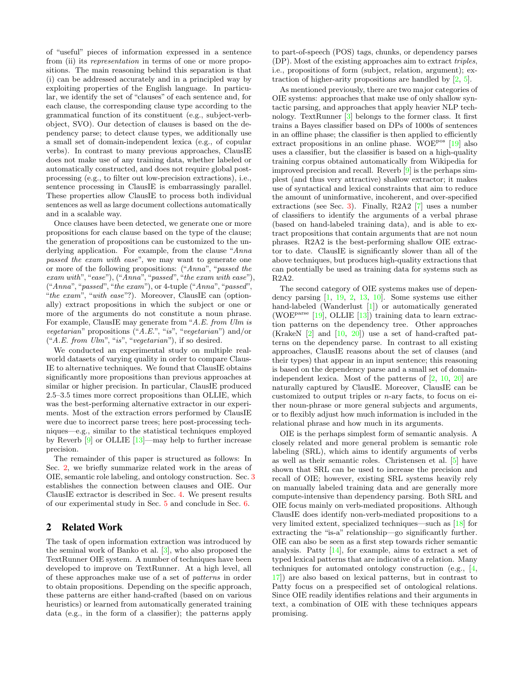of "useful" pieces of information expressed in a sentence from (ii) its representation in terms of one or more propositions. The main reasoning behind this separation is that (i) can be addressed accurately and in a principled way by exploiting properties of the English language. In particular, we identify the set of "clauses" of each sentence and, for each clause, the corresponding clause type according to the grammatical function of its constituent (e.g., subject-verbobject, SVO). Our detection of clauses is based on the dependency parse; to detect clause types, we additionally use a small set of domain-independent lexica (e.g., of copular verbs). In contrast to many previous approaches, ClausIE does not make use of any training data, whether labeled or automatically constructed, and does not require global postprocessing (e.g., to filter out low-precision extractions), i.e., sentence processing in ClausIE is embarrassingly parallel. These properties allow ClausIE to process both individual sentences as well as large document collections automatically and in a scalable way.

Once clauses have been detected, we generate one or more propositions for each clause based on the type of the clause; the generation of propositions can be customized to the underlying application. For example, from the clause "Anna passed the exam with ease", we may want to generate one or more of the following propositions: ("Anna", "passed the exam with", "ease"), ("Anna", "passed", "the exam with ease"), ("Anna", "passed", "the exam"), or 4-tuple ("Anna", "passed", "the exam", "with ease"?). Moreover, ClausIE can (optionally) extract propositions in which the subject or one or more of the arguments do not constitute a noun phrase. For example, ClausIE may generate from "A.E. from Ulm is *vegetarian*" propositions  $(4.1, 2.1, 4.1)$ ", "*vegetarian*") and/or  $(*A.E. from Ulm", "is", "vegetarian"), if so desired.$ 

We conducted an experimental study on multiple realworld datasets of varying quality in order to compare Claus-IE to alternative techniques. We found that ClausIE obtains significantly more propositions than previous approaches at similar or higher precision. In particular, ClausIE produced 2.5–3.5 times more correct propositions than OLLIE, which was the best-performing alternative extractor in our experiments. Most of the extraction errors performed by ClausIE were due to incorrect parse trees; here post-processing techniques—e.g., similar to the statistical techniques employed by Reverb  $[9]$  or OLLIE  $[13]$ —may help to further increase precision.

The remainder of this paper is structured as follows: In Sec. [2,](#page-1-0) we briefly summarize related work in the areas of OIE, semantic role labeling, and ontology construction. Sec. [3](#page-1-1) establishes the connection between clauses and OIE. Our ClausIE extractor is described in Sec. [4.](#page-3-0) We present results of our experimental study in Sec. [5](#page-6-0) and conclude in Sec. [6.](#page-8-0)

## <span id="page-1-0"></span>2 Related Work

The task of open information extraction was introduced by the seminal work of Banko et al. [\[3\]](#page-10-2), who also proposed the TextRunner OIE system. A number of techniques have been developed to improve on TextRunner. At a high level, all of these approaches make use of a set of patterns in order to obtain propositions. Depending on the specific approach, these patterns are either hand-crafted (based on on various heuristics) or learned from automatically generated training data (e.g., in the form of a classifier); the patterns apply

to part-of-speech (POS) tags, chunks, or dependency parses (DP). Most of the existing approaches aim to extract triples, i.e., propositions of form (subject, relation, argument); extraction of higher-arity propositions are handled by [\[2,](#page-10-1) [5\]](#page-10-3).

As mentioned previously, there are two major categories of OIE systems: approaches that make use of only shallow syntactic parsing, and approaches that apply heavier NLP technology. TextRunner [\[3\]](#page-10-2) belongs to the former class. It first trains a Bayes classifier based on DPs of 1000s of sentences in an offline phase; the classifier is then applied to efficiently extract propositions in an online phase. WOE<sup>pos</sup> [\[19\]](#page-10-9) also uses a classifier, but the classifier is based on a high-quality training corpus obtained automatically from Wikipedia for improved precision and recall. Reverb [\[9\]](#page-10-5) is the perhaps simplest (and thus very attractive) shallow extractor; it makes use of syntactical and lexical constraints that aim to reduce the amount of uninformative, incoherent, and over-specified extractions (see Sec. [3\)](#page-1-1). Finally, R2A2 [\[7\]](#page-10-4) uses a number of classifiers to identify the arguments of a verbal phrase (based on hand-labeled training data), and is able to extract propositions that contain arguments that are not noun phrases. R2A2 is the best-performing shallow OIE extractor to date. ClausIE is significantly slower than all of the above techniques, but produces high-quality extractions that can potentially be used as training data for systems such as R2A2.

The second category of OIE systems makes use of dependency parsing [\[1,](#page-10-0) [19,](#page-10-9) [2,](#page-10-1) [13,](#page-10-8) [10\]](#page-10-7). Some systems use either hand-labeled (Wanderlust [\[1\]](#page-10-0)) or automatically generated (WOE<sup>parse</sup> [\[19\]](#page-10-9), OLLIE [\[13\]](#page-10-8)) training data to learn extraction patterns on the dependency tree. Other approaches (KrakeN  $[2]$  and  $[10, 20]$  $[10, 20]$  $[10, 20]$ ) use a set of hand-crafted patterns on the dependency parse. In contrast to all existing approaches, ClausIE reasons about the set of clauses (and their types) that appear in an input sentence; this reasoning is based on the dependency parse and a small set of domainindependent lexica. Most of the patterns of [\[2,](#page-10-1) [10,](#page-10-7) [20\]](#page-10-11) are naturally captured by ClausIE. Moreover, ClausIE can be customized to output triples or  $n$ -ary facts, to focus on either noun-phrase or more general subjects and arguments, or to flexibly adjust how much information is included in the relational phrase and how much in its arguments.

<span id="page-1-1"></span>OIE is the perhaps simplest form of semantic analysis. A closely related and more general problem is semantic role labeling (SRL), which aims to identify arguments of verbs as well as their semantic roles. Christensen et al. [\[5\]](#page-10-3) have shown that SRL can be used to increase the precision and recall of OIE; however, existing SRL systems heavily rely on manually labeled training data and are generally more compute-intensive than dependency parsing. Both SRL and OIE focus mainly on verb-mediated propositions. Although ClausIE does identify non-verb-mediated propositions to a very limited extent, specialized techniques—such as [\[18\]](#page-10-12) for extracting the "is-a" relationship—go significantly further. OIE can also be seen as a first step towards richer semantic analysis. Patty [\[14\]](#page-10-13), for example, aims to extract a set of typed lexical patterns that are indicative of a relation. Many techniques for automated ontology construction (e.g., [\[4,](#page-10-14) [17\]](#page-10-10)) are also based on lexical patterns, but in contrast to Patty focus on a prespecified set of ontological relations. Since OIE readily identifies relations and their arguments in text, a combination of OIE with these techniques appears promising.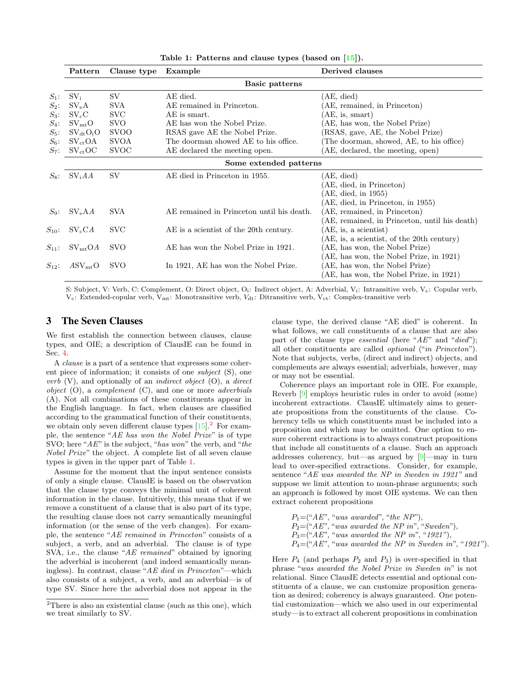|            | Pattern                               | Clause type | Example                                   | Derived clauses                               |  |  |
|------------|---------------------------------------|-------------|-------------------------------------------|-----------------------------------------------|--|--|
|            | Basic patterns                        |             |                                           |                                               |  |  |
| $S_1$ :    | $SV_i$                                | <b>SV</b>   | AE died.                                  | (AE, died)                                    |  |  |
| $S_2$ :    | $SV_eA$                               | <b>SVA</b>  | AE remained in Princeton.                 | (AE, remained, in Princeton)                  |  |  |
| $S_3$ :    | $\rm SV_cC$                           | <b>SVC</b>  | AE is smart.                              | (AE, is, smart)                               |  |  |
| $S_4$ :    | $\rm SV_{mt}O$                        | <b>SVO</b>  | AE has won the Nobel Prize.               | (AE, has won, the Nobel Prize)                |  |  |
| $S_5$ :    | $SV_{dt}O_iO$                         | <b>SVOO</b> | RSAS gave AE the Nobel Prize.             | (RSAS, gave, AE, the Nobel Prize)             |  |  |
| $S_6$ :    | $\mathrm{SV}_\mathrm{ct}\mathrm{OA}$  | <b>SVOA</b> | The doorman showed AE to his office.      | (The doorman, showed, AE, to his office)      |  |  |
| $S_7$ :    | $\mathrm{SV}_\mathrm{ct} \mathrm{OC}$ | <b>SVOC</b> | AE declared the meeting open.             | (AE, declared, the meeting, open)             |  |  |
|            | Some extended patterns                |             |                                           |                                               |  |  |
| $S_8$ :    | SV <sub>i</sub> AA                    | <b>SV</b>   | AE died in Princeton in 1955.             | (AE, died)                                    |  |  |
|            |                                       |             |                                           | (AE, died, in Princeton)                      |  |  |
|            |                                       |             |                                           | (AE, died, in 1955)                           |  |  |
|            |                                       |             |                                           | (AE, died, in Princeton, in 1955)             |  |  |
| $S_9$ :    | $SV_eA A$                             | <b>SVA</b>  | AE remained in Princeton until his death. | (AE, remained, in Princeton)                  |  |  |
|            |                                       |             |                                           | (AE, remained, in Princeton, until his death) |  |  |
| $S_{10}$ : | $\mathrm{SV_cCA}$                     | <b>SVC</b>  | AE is a scientist of the 20th century.    | (AE, is, a scientist)                         |  |  |
|            |                                       |             |                                           | (AE, is, a scientist, of the 20th century)    |  |  |
| $S_{11}$ : | $\mathrm{SV}_\mathrm{mt}\mathrm{O}A$  | <b>SVO</b>  | AE has won the Nobel Prize in 1921.       | (AE, has won, the Nobel Prize)                |  |  |
|            |                                       |             |                                           | (AE, has won, the Nobel Prize, in 1921)       |  |  |
| $S_{12}$ : | $ASV_{\rm mt}O$                       | <b>SVO</b>  | In 1921, AE has won the Nobel Prize.      | (AE, has won, the Nobel Prize)                |  |  |
|            |                                       |             |                                           | (AE, has won, the Nobel Prize, in 1921)       |  |  |

<span id="page-2-1"></span>Table 1: Patterns and clause types (based on [\[15\]](#page-10-15)).

S: Subject, V: Verb, C: Complement, O: Direct object, O<sub>i</sub>: Indirect object, A: Adverbial, V<sub>i</sub>: Intransitive verb, V<sub>c</sub>: Copular verb,  $V_c$ : Extended-copular verb,  $V_{mt}$ : Monotransitive verb,  $V_{dt}$ : Ditransitive verb,  $V_{ct}$ : Complex-transitive verb

#### 3 The Seven Clauses

We first establish the connection between clauses, clause types, and OIE; a description of ClausIE can be found in Sec. [4.](#page-3-0)

A clause is a part of a sentence that expresses some coherent piece of information; it consists of one subject (S), one verb  $(V)$ , and optionally of an *indirect object*  $(O)$ , a *direct* object  $(O)$ , a complement  $(C)$ , and one or more *adverbials* (A). Not all combinations of these constituents appear in the English language. In fact, when clauses are classified according to the grammatical function of their constituents, we obtain only seven different clause types  $[15]$ <sup>[2](#page-2-0)</sup> For example, the sentence "AE has won the Nobel Prize" is of type SVO; here " $AE$ " is the subject, "has won" the verb, and "the Nobel Prize" the object. A complete list of all seven clause types is given in the upper part of Table [1.](#page-2-1)

Assume for the moment that the input sentence consists of only a single clause. ClausIE is based on the observation that the clause type conveys the minimal unit of coherent information in the clause. Intuitively, this means that if we remove a constituent of a clause that is also part of its type, the resulting clause does not carry semantically meaningful information (or the sense of the verb changes). For example, the sentence "AE remained in Princeton" consists of a subject, a verb, and an adverbial. The clause is of type SVA, i.e., the clause "AE remained" obtained by ignoring the adverbial is incoherent (and indeed semantically meaningless). In contrast, clause "AE died in Princeton"—which also consists of a subject, a verb, and an adverbial—is of type SV. Since here the adverbial does not appear in the clause type, the derived clause "AE died" is coherent. In what follows, we call constituents of a clause that are also part of the clause type *essential* (here " $AE$ " and " $died$ "); all other constituents are called optional ("in Princeton"). Note that subjects, verbs, (direct and indirect) objects, and complements are always essential; adverbials, however, may or may not be essential.

Coherence plays an important role in OIE. For example, Reverb [\[9\]](#page-10-5) employs heuristic rules in order to avoid (some) incoherent extractions. ClausIE ultimately aims to generate propositions from the constituents of the clause. Coherency tells us which constituents must be included into a proposition and which may be omitted. One option to ensure coherent extractions is to always construct propositions that include all constituents of a clause. Such an approach addresses coherency, but—as argued by [\[9\]](#page-10-5)—may in turn lead to over-specified extractions. Consider, for example, sentence " $AE$  was awarded the NP in Sweden in 1921" and suppose we limit attention to noun-phrase arguments; such an approach is followed by most OIE systems. We can then extract coherent propositions

| $P_1 = ("AE", "was awarded", "the NP"),$                   |  |
|------------------------------------------------------------|--|
| $P_2 = ("AE", "was awarded the NP in", "Sweden"),$         |  |
| $P_3 = ("AE", "was awarded the NP in", "1921"),$           |  |
| $P_4 = ("AE", "was awarded the NP in Sweden in", "1921").$ |  |

Here  $P_4$  (and perhaps  $P_2$  and  $P_3$ ) is over-specified in that phrase "was awarded the Nobel Prize in Sweden in" is not relational. Since ClausIE detects essential and optional constituents of a clause, we can customize proposition generation as desired; coherency is always guaranteed. One potential customization—which we also used in our experimental study—is to extract all coherent propositions in combination

<span id="page-2-0"></span><sup>&</sup>lt;sup>2</sup>There is also an existential clause (such as this one), which we treat similarly to SV.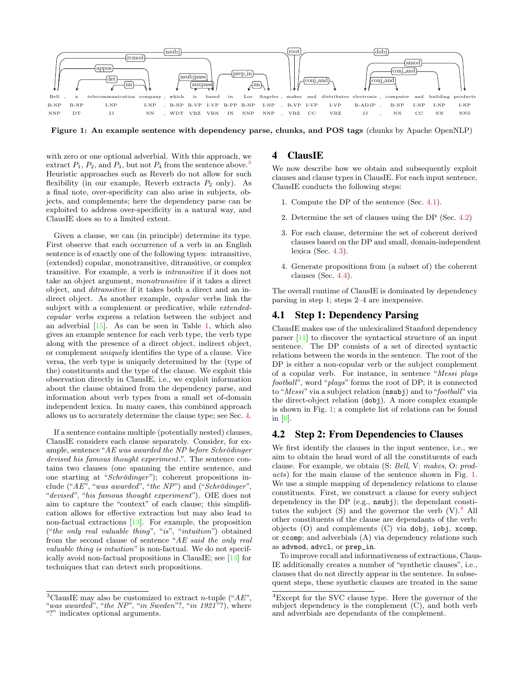

<span id="page-3-4"></span>Figure 1: An example sentence with dependency parse, chunks, and POS tags (chunks by Apache OpenNLP)

with zero or one optional adverbial. With this approach, we extract  $P_1$ ,  $P_2$ , and  $P_3$  $P_3$ , but not  $P_4$  from the sentence above.<sup>3</sup> Heuristic approaches such as Reverb do not allow for such flexibility (in our example, Reverb extracts  $P_2$  only). As a final note, over-specificity can also arise in subjects, objects, and complements; here the dependency parse can be exploited to address over-specificity in a natural way, and ClausIE does so to a limited extent.

Given a clause, we can (in principle) determine its type. First observe that each occurrence of a verb in an English sentence is of exactly one of the following types: intransitive, (extended) copular, monotransitive, ditransitive, or complex transitive. For example, a verb is intransitive if it does not take an object argument, monotransitive if it takes a direct object, and ditransitive if it takes both a direct and an indirect object. As another example, *copular* verbs link the subject with a complement or predicative, while *extended*copular verbs express a relation between the subject and an adverbial  $[15]$ . As can be seen in Table [1,](#page-2-1) which also gives an example sentence for each verb type, the verb type along with the presence of a direct object, indirect object, or complement uniquely identifies the type of a clause. Vice versa, the verb type is uniquely determined by the (type of the) constituents and the type of the clause. We exploit this observation directly in ClausIE, i.e., we exploit information about the clause obtained from the dependency parse, and information about verb types from a small set of-domain independent lexica. In many cases, this combined approach allows us to accurately determine the clause type; see Sec. [4.](#page-3-0)

If a sentence contains multiple (potentially nested) clauses, ClausIE considers each clause separately. Consider, for example, sentence " $AE$  was awarded the NP before Schrödinger devised his famous thought experiment.". The sentence contains two clauses (one spanning the entire sentence, and one starting at " $Schrödinger$ "); coherent propositions include (" $AE$ ", "was awarded", "the NP") and ("Schrödinger", "devised", "his famous thought experiment"). OIE does not aim to capture the "context" of each clause; this simplification allows for effective extraction but may also lead to non-factual extractions [\[13\]](#page-10-8). For example, the proposition ("the only real valuable thing", "is", "intuition") obtained from the second clause of sentence "AE said the only real valuable thing is intuition" is non-factual. We do not specifically avoid non-factual propositions in ClausIE; see [\[13\]](#page-10-8) for techniques that can detect such propositions.

## 4 ClausIE

We now describe how we obtain and subsequently exploit clauses and clause types in ClausIE. For each input sentence, ClausIE conducts the following steps:

- 1. Compute the DP of the sentence (Sec. [4.1\)](#page-3-2).
- 2. Determine the set of clauses using the DP (Sec. [4.2\)](#page-3-3)
- 3. For each clause, determine the set of coherent derived clauses based on the DP and small, domain-independent lexica (Sec. [4.3\)](#page-4-0).
- 4. Generate propositions from (a subset of) the coherent clauses (Sec. [4.4\)](#page-5-0).

The overall runtime of ClausIE is dominated by dependency parsing in step 1; steps 2–4 are inexpensive.

## <span id="page-3-2"></span>4.1 Step 1: Dependency Parsing

ClausIE makes use of the unlexicalized Stanford dependency parser [\[11\]](#page-10-16) to discover the syntactical structure of an input sentence. The DP consists of a set of directed syntactic relations between the words in the sentence. The root of the DP is either a non-copular verb or the subject complement of a copular verb. For instance, in sentence "Messi plays football", word "plays" forms the root of DP; it is connected to "Messi" via a subject relation (nsubj) and to "football" via the direct-object relation (dobj). A more complex example is shown in Fig. [1;](#page-3-4) a complete list of relations can be found in  $[6]$ .

#### <span id="page-3-3"></span>4.2 Step 2: From Dependencies to Clauses

We first identify the clauses in the input sentence, i.e., we aim to obtain the head word of all the constituents of each clause. For example, we obtain (S: Bell, V: makes, O: products) for the main clause of the sentence shown in Fig. [1.](#page-3-4) We use a simple mapping of dependency relations to clause constituents. First, we construct a clause for every subject dependency in the DP (e.g., nsubj); the dependant constitutes the subject  $(S)$  and the governor the verb  $(V)$ .<sup>[4](#page-3-5)</sup> All other constituents of the clause are dependants of the verb: objects (O) and complements (C) via dobj, iobj, xcomp, or ccomp; and adverbials (A) via dependency relations such as advmod, advcl, or prep\_in.

To improve recall and informativeness of extractions, Claus-IE additionally creates a number of "synthetic clauses", i.e., clauses that do not directly appear in the sentence. In subsequent steps, these synthetic clauses are treated in the same

<span id="page-3-1"></span><span id="page-3-0"></span><sup>&</sup>lt;sup>3</sup>ClausIE may also be customized to extract n-tuple (" $AE$ ") "was awarded", "the NP", "in Sweden"?, "in  $1921$ "?), where "?" indicates optional arguments.

<span id="page-3-5"></span><sup>4</sup>Except for the SVC clause type. Here the governor of the subject dependency is the complement  $(C)$ , and both verb and adverbials are dependants of the complement.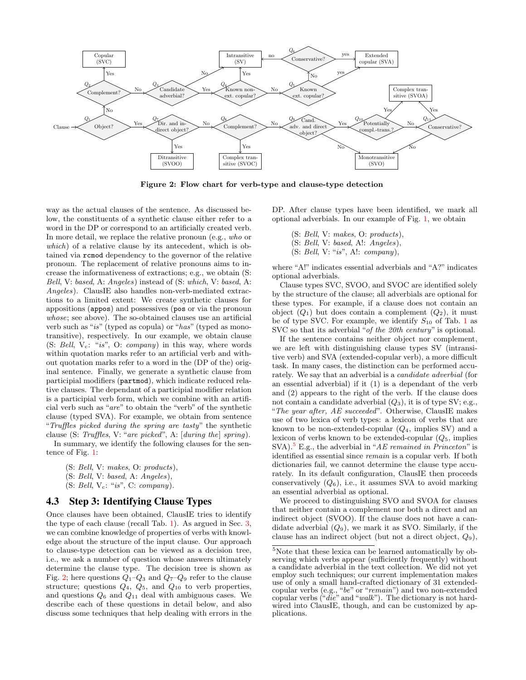

<span id="page-4-1"></span>Figure 2: Flow chart for verb-type and clause-type detection

way as the actual clauses of the sentence. As discussed below, the constituents of a synthetic clause either refer to a word in the DP or correspond to an artificially created verb. In more detail, we replace the relative pronoun (e.g., who or which) of a relative clause by its antecedent, which is obtained via rcmod dependency to the governor of the relative pronoun. The replacement of relative pronouns aims to increase the informativeness of extractions; e.g., we obtain (S: Bell, V: based, A: Angeles) instead of (S: which, V: based, A: Angeles). ClausIE also handles non-verb-mediated extractions to a limited extent: We create synthetic clauses for appositions (appos) and possessives (pos or via the pronoun whose; see above). The so-obtained clauses use an artificial verb such as "is" (typed as copula) or "has" (typed as monotransitive), respectively. In our example, we obtain clause (S: Bell, Vc: "is", O: company) in this way, where words within quotation marks refer to an artificial verb and without quotation marks refer to a word in the (DP of the) original sentence. Finally, we generate a synthetic clause from participial modifiers (partmod), which indicate reduced relative clauses. The dependant of a participial modifier relation is a participial verb form, which we combine with an artificial verb such as "are" to obtain the "verb" of the synthetic clause (typed SVA). For example, we obtain from sentence "Truffles picked during the spring are tasty" the synthetic clause (S: Truffles, V: "are picked", A: [during the] spring).

In summary, we identify the following clauses for the sentence of Fig. [1:](#page-3-4)

- (S: Bell, V: makes, O: products),
- (S: Bell, V: based, A: Angeles),
- (S: Bell,  $V_c$ : "is", C: company).

## <span id="page-4-0"></span>4.3 Step 3: Identifying Clause Types

Once clauses have been obtained, ClausIE tries to identify the type of each clause (recall Tab. [1\)](#page-2-1). As argued in Sec. [3,](#page-1-1) we can combine knowledge of properties of verbs with knowledge about the structure of the input clause. Our approach to clause-type detection can be viewed as a decision tree, i.e., we ask a number of question whose answers ultimately determine the clause type. The decision tree is shown as Fig. [2;](#page-4-1) here questions  $Q_1-Q_3$  and  $Q_7-Q_9$  refer to the clause structure; questions  $Q_4$ ,  $Q_5$ , and  $Q_{10}$  to verb properties, and questions  $Q_6$  and  $Q_{11}$  deal with ambiguous cases. We describe each of these questions in detail below, and also discuss some techniques that help dealing with errors in the DP. After clause types have been identified, we mark all optional adverbials. In our example of Fig. [1,](#page-3-4) we obtain

(S: Bell, V: makes, O: products), (S: Bell, V: based, A!: Angeles),

(S: Bell, V: "is", A!: company),

where "A!" indicates essential adverbials and "A?" indicates optional adverbials.

Clause types SVC, SVOO, and SVOC are identified solely by the structure of the clause; all adverbials are optional for these types. For example, if a clause does not contain an object  $(Q_1)$  but does contain a complement  $(Q_2)$ , it must be of type SVC. For example, we identify  $S_{10}$  $S_{10}$  $S_{10}$  of Tab. 1 as SVC so that its adverbial "of the 20th century" is optional.

If the sentence contains neither object nor complement, we are left with distinguishing clause types SV (intransitive verb) and SVA (extended-copular verb), a more difficult task. In many cases, the distinction can be performed accurately. We say that an adverbial is a candidate adverbial (for an essential adverbial) if it (1) is a dependant of the verb and (2) appears to the right of the verb. If the clause does not contain a candidate adverbial  $(Q_3)$ , it is of type SV; e.g., "The year after, AE succeeded". Otherwise, ClausIE makes use of two lexica of verb types: a lexicon of verbs that are known to be non-extended-copular  $(Q_4, \text{ implies SV})$  and a lexicon of verbs known to be extended-copular  $(Q_5, \text{ implies})$ SVA).<sup>[5](#page-4-2)</sup> E.g., the adverbial in " $AE$  remained in Princeton" is identified as essential since remain is a copular verb. If both dictionaries fail, we cannot determine the clause type accurately. In its default configuration, ClausIE then proceeds conservatively  $(Q_6)$ , i.e., it assumes SVA to avoid marking an essential adverbial as optional.

We proceed to distinguishing SVO and SVOA for clauses that neither contain a complement nor both a direct and an indirect object (SVOO). If the clause does not have a candidate adverbial  $(Q_9)$ , we mark it as SVO. Similarly, if the clause has an indirect object (but not a direct object,  $Q_9$ ),

<span id="page-4-2"></span><sup>5</sup>Note that these lexica can be learned automatically by observing which verbs appear (sufficiently frequently) without a candidate adverbial in the text collection. We did not yet employ such techniques; our current implementation makes use of only a small hand-crafted dictionary of 31 extendedcopular verbs (e.g., "be" or "remain") and two non-extended copular verbs (" $die$ " and "walk"). The dictionary is not hardwired into ClausIE, though, and can be customized by applications.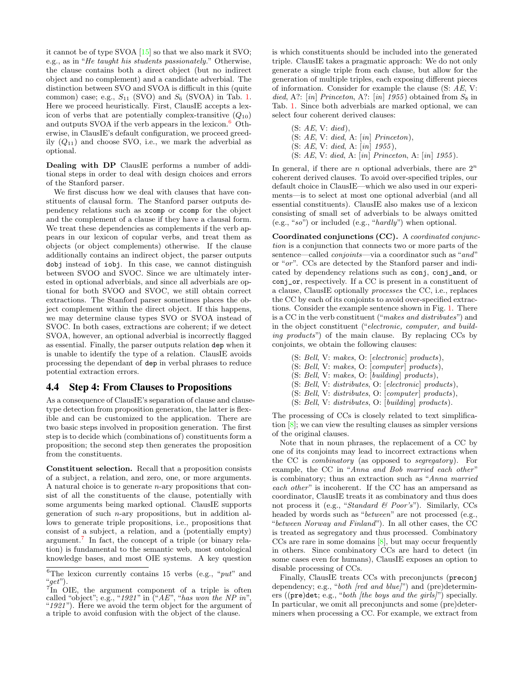it cannot be of type SVOA [\[15\]](#page-10-15) so that we also mark it SVO; e.g., as in "He taught his students passionately." Otherwise, the clause contains both a direct object (but no indirect object and no complement) and a candidate adverbial. The distinction between SVO and SVOA is difficult in this (quite common) case; e.g.,  $S_{11}$  (SVO) and  $S_6$  (SVOA) in Tab. [1.](#page-2-1) Here we proceed heuristically. First, ClausIE accepts a lexicon of verbs that are potentially complex-transitive  $(Q_{10})$ and outputs SVOA if the verb appears in the lexicon. $6$  Otherwise, in ClausIE's default configuration, we proceed greedily  $(Q_{11})$  and choose SVO, i.e., we mark the adverbial as optional.

Dealing with DP ClausIE performs a number of additional steps in order to deal with design choices and errors of the Stanford parser.

We first discuss how we deal with clauses that have constituents of clausal form. The Stanford parser outputs dependency relations such as xcomp or ccomp for the object and the complement of a clause if they have a clausal form. We treat these dependencies as complements if the verb appears in our lexicon of copular verbs, and treat them as objects (or object complements) otherwise. If the clause additionally contains an indirect object, the parser outputs dobj instead of iobj. In this case, we cannot distinguish between SVOO and SVOC. Since we are ultimately interested in optional adverbials, and since all adverbials are optional for both SVOO and SVOC, we still obtain correct extractions. The Stanford parser sometimes places the object complement within the direct object. If this happens, we may determine clause types SVO or SVOA instead of SVOC. In both cases, extractions are coherent; if we detect SVOA, however, an optional adverbial is incorrectly flagged as essential. Finally, the parser outputs relation dep when it is unable to identify the type of a relation. ClausIE avoids processing the dependant of dep in verbal phrases to reduce potential extraction errors.

## <span id="page-5-0"></span>4.4 Step 4: From Clauses to Propositions

As a consequence of ClausIE's separation of clause and clausetype detection from proposition generation, the latter is flexible and can be customized to the application. There are two basic steps involved in proposition generation. The first step is to decide which (combinations of) constituents form a proposition; the second step then generates the proposition from the constituents.

Constituent selection. Recall that a proposition consists of a subject, a relation, and zero, one, or more arguments. A natural choice is to generate n-ary propositions that consist of all the constituents of the clause, potentially with some arguments being marked optional. ClausIE supports generation of such  $n$ -ary propositions, but in addition allows to generate triple propositions, i.e., propositions that consist of a subject, a relation, and a (potentially empty) argument.[7](#page-5-2) In fact, the concept of a triple (or binary relation) is fundamental to the semantic web, most ontological knowledge bases, and most OIE systems. A key question is which constituents should be included into the generated triple. ClausIE takes a pragmatic approach: We do not only generate a single triple from each clause, but allow for the generation of multiple triples, each exposing different pieces of information. Consider for example the clause (S: AE, V: died, A?: [in] Princeton, A?: [in] 1955) obtained from  $S_8$  in Tab. [1.](#page-2-1) Since both adverbials are marked optional, we can select four coherent derived clauses:

 $(S: AE, V: died),$  $(S: AE, V: died, A: [in] Princeton),$ (S: AE, V: died, A: [in] 1955 ), (S: AE, V: died, A: [in] Princeton, A: [in] 1955 ).

In general, if there are  $n$  optional adverbials, there are  $2^n$ coherent derived clauses. To avoid over-specified triples, our default choice in ClausIE—which we also used in our experiments—is to select at most one optional adverbial (and all essential constituents). ClausIE also makes use of a lexicon consisting of small set of adverbials to be always omitted (e.g., "so") or included (e.g., "hardly") when optional.

Coordinated conjunctions (CC). A coordinated conjunction is a conjunction that connects two or more parts of the sentence—called *conjoints*—via a coordinator such as "and" or "or". CCs are detected by the Stanford parser and indicated by dependency relations such as conj, conj\_and, or conj\_or, respectively. If a CC is present in a constituent of a clause, ClausIE optionally processes the CC, i.e., replaces the CC by each of its conjoints to avoid over-specified extractions. Consider the example sentence shown in Fig. [1.](#page-3-4) There is a CC in the verb constituent ("makes and distributes") and in the object constituent ("electronic, computer, and building products") of the main clause. By replacing CCs by conjoints, we obtain the following clauses:

- (S: Bell, V: makes, O: [electronic] products),
- (S: Bell, V: makes, O: [computer ] products),
- (S: Bell, V: makes, O: [building] products),
- (S: Bell, V: distributes, O: [electronic] products),
- $(S: Bell, V: \textit{distributions}, O: [computer] \textit{ products}),$
- (S: Bell, V: distributes, O: [building] products).

The processing of CCs is closely related to text simplification [\[8\]](#page-10-18); we can view the resulting clauses as simpler versions of the original clauses.

Note that in noun phrases, the replacement of a CC by one of its conjoints may lead to incorrect extractions when the CC is combinatory (as opposed to segregatory). For example, the CC in "Anna and Bob married each other" is combinatory; thus an extraction such as "Anna married each other" is incoherent. If the CC has an ampersand as coordinator, ClausIE treats it as combinatory and thus does not process it (e.g., "Standard & Poor's"). Similarly, CCs headed by words such as "between" are not processed (e.g., "between Norway and Finland"). In all other cases, the CC is treated as segregatory and thus processed. Combinatory CCs are rare in some domains [\[8\]](#page-10-18), but may occur frequently in others. Since combinatory CCs are hard to detect (in some cases even for humans), ClausIE exposes an option to disable processing of CCs.

Finally, ClausIE treats CCs with preconjuncts (preconj dependency; e.g., "both [red and blue]") and (pre)determiners (( $pre$ )det; e.g., "both *[the boys and the girls]*") specially. In particular, we omit all preconjuncts and some (pre)determiners when processing a CC. For example, we extract from

<span id="page-5-1"></span><sup>&</sup>lt;sup>6</sup>The lexicon currently contains 15 verbs (e.g., " $put$ " and " $get$ ").

<span id="page-5-2"></span><sup>&</sup>lt;sup>7</sup>In OIE, the argument component of a triple is often called "object"; e.g., " $1921$ " in (" $AE$ ", "has won the NP in", "1921"). Here we avoid the term object for the argument of a triple to avoid confusion with the object of the clause.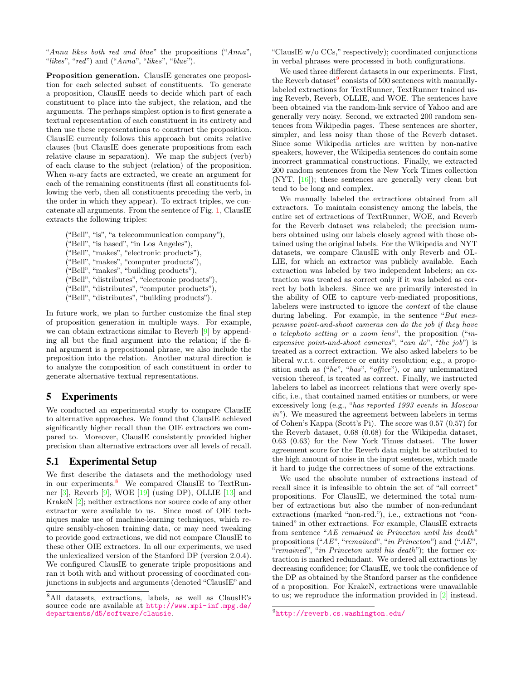"Anna likes both red and blue" the propositions ("Anna", "likes", " $red"$ ) and (" $Anna"$ , "likes", " $blue"$ ).

Proposition generation. ClausIE generates one proposition for each selected subset of constituents. To generate a proposition, ClausIE needs to decide which part of each constituent to place into the subject, the relation, and the arguments. The perhaps simplest option is to first generate a textual representation of each constituent in its entirety and then use these representations to construct the proposition. ClausIE currently follows this approach but omits relative clauses (but ClausIE does generate propositions from each relative clause in separation). We map the subject (verb) of each clause to the subject (relation) of the proposition. When n-ary facts are extracted, we create an argument for each of the remaining constituents (first all constituents following the verb, then all constituents preceding the verb, in the order in which they appear). To extract triples, we concatenate all arguments. From the sentence of Fig. [1,](#page-3-4) ClausIE extracts the following triples:

("Bell", "is", "a telecommunication company"), ("Bell", "is based", "in Los Angeles"), ("Bell", "makes", "electronic products"), ("Bell", "makes", "computer products"), ("Bell", "makes", "building products"), ("Bell", "distributes", "electronic products"), ("Bell", "distributes", "computer products"), ("Bell", "distributes", "building products").

In future work, we plan to further customize the final step of proposition generation in multiple ways. For example, we can obtain extractions similar to Reverb [\[9\]](#page-10-5) by appending all but the final argument into the relation; if the final argument is a prepositional phrase, we also include the preposition into the relation. Another natural direction is to analyze the composition of each constituent in order to generate alternative textual representations.

## <span id="page-6-0"></span>5 Experiments

We conducted an experimental study to compare ClausIE to alternative approaches. We found that ClausIE achieved significantly higher recall than the OIE extractors we compared to. Moreover, ClausIE consistently provided higher precision than alternative extractors over all levels of recall.

#### 5.1 Experimental Setup

We first describe the datasets and the methodology used in our experiments.[8](#page-6-1) We compared ClausIE to TextRunner  $[3]$ , Reverb  $[9]$ , WOE  $[19]$  (using DP), OLLIE  $[13]$  and KrakeN [\[2\]](#page-10-1); neither extractions nor source code of any other extractor were available to us. Since most of OIE techniques make use of machine-learning techniques, which require sensibly-chosen training data, or may need tweaking to provide good extractions, we did not compare ClausIE to these other OIE extractors. In all our experiments, we used the unlexicalized version of the Stanford DP (version 2.0.4). We configured ClausIE to generate triple propositions and ran it both with and without processing of coordinated conjunctions in subjects and arguments (denoted "ClausIE" and

"ClausIE w/o CCs," respectively); coordinated conjunctions in verbal phrases were processed in both configurations.

We used three different datasets in our experiments. First, the Reverb dataset<sup>[9](#page-6-2)</sup> consists of 500 sentences with manuallylabeled extractions for TextRunner, TextRunner trained using Reverb, Reverb, OLLIE, and WOE. The sentences have been obtained via the random-link service of Yahoo and are generally very noisy. Second, we extracted 200 random sentences from Wikipedia pages. These sentences are shorter, simpler, and less noisy than those of the Reverb dataset. Since some Wikipedia articles are written by non-native speakers, however, the Wikipedia sentences do contain some incorrect grammatical constructions. Finally, we extracted 200 random sentences from the New York Times collection (NYT, [\[16\]](#page-10-19)); these sentences are generally very clean but tend to be long and complex.

We manually labeled the extractions obtained from all extractors. To maintain consistency among the labels, the entire set of extractions of TextRunner, WOE, and Reverb for the Reverb dataset was relabeled; the precision numbers obtained using our labels closely agreed with those obtained using the original labels. For the Wikipedia and NYT datasets, we compare ClausIE with only Reverb and OL-LIE, for which an extractor was publicly available. Each extraction was labeled by two independent labelers; an extraction was treated as correct only if it was labeled as correct by both labelers. Since we are primarily interested in the ability of OIE to capture verb-mediated propositions, labelers were instructed to ignore the context of the clause during labeling. For example, in the sentence "But inexpensive point-and-shoot cameras can do the job if they have a telephoto setting or a zoom lens", the proposition ("inexpensive point-and-shoot cameras", "can do", "the job") is treated as a correct extraction. We also asked labelers to be liberal w.r.t. coreference or entity resolution; e.g., a proposition such as  $("he", "has", "office"),$  or any unlemmatized version thereof, is treated as correct. Finally, we instructed labelers to label as incorrect relations that were overly specific, i.e., that contained named entities or numbers, or were excessively long (e.g., "has reported 1993 events in Moscow in"). We measured the agreement between labelers in terms of Cohen's Kappa (Scott's Pi). The score was 0.57 (0.57) for the Reverb dataset, 0.68 (0.68) for the Wikipedia dataset, 0.63 (0.63) for the New York Times dataset. The lower agreement score for the Reverb data might be attributed to the high amount of noise in the input sentences, which made it hard to judge the correctness of some of the extractions.

We used the absolute number of extractions instead of recall since it is infeasible to obtain the set of "all correct" propositions. For ClausIE, we determined the total number of extractions but also the number of non-redundant extractions (marked "non-red."), i.e., extractions not "contained" in other extractions. For example, ClausIE extracts from sentence "AE remained in Princeton until his death" propositions (" $AE$ ", "remained", "in Princeton") and (" $AE$ ", "remained", "in Princeton until his death"); the former extraction is marked redundant. We ordered all extractions by decreasing confidence; for ClausIE, we took the confidence of the DP as obtained by the Stanford parser as the confidence of a proposition. For KrakeN, extractions were unavailable to us; we reproduce the information provided in [\[2\]](#page-10-1) instead.

<span id="page-6-1"></span><sup>8</sup>All datasets, extractions, labels, as well as ClausIE's source code are available at [http://www.mpi-inf.mpg.de/](http://www.mpi-inf.mpg.de/departments/d5/software/clausie) [departments/d5/software/clausie](http://www.mpi-inf.mpg.de/departments/d5/software/clausie).

<span id="page-6-3"></span><span id="page-6-2"></span><sup>9</sup> <http://reverb.cs.washington.edu/>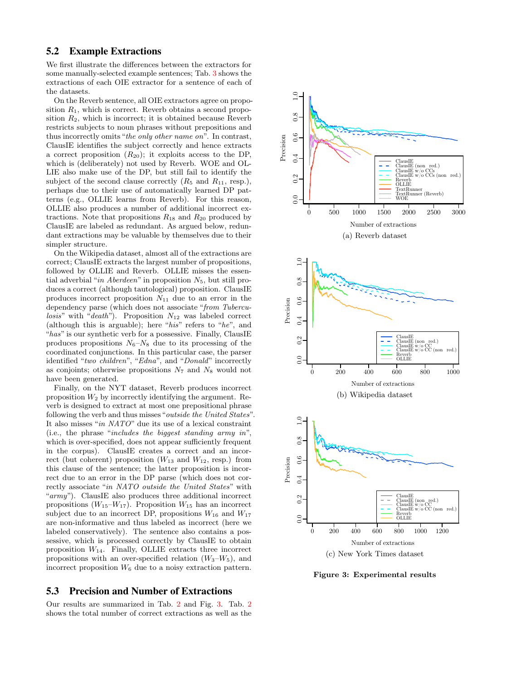# 5.2 Example Extractions

We first illustrate the differences between the extractors for some manually-selected example sentences; Tab. [3](#page-9-0) shows the extractions of each OIE extractor for a sentence of each of the datasets.

On the Reverb sentence, all OIE extractors agree on proposition  $R_1$ , which is correct. Reverb obtains a second proposition  $R_2$ , which is incorrect; it is obtained because Reverb restricts subjects to noun phrases without prepositions and thus incorrectly omits "the only other name on". In contrast, ClausIE identifies the subject correctly and hence extracts a correct proposition  $(R_{20})$ ; it exploits access to the DP, which is (deliberately) not used by Reverb. WOE and OL-LIE also make use of the DP, but still fail to identify the subject of the second clause correctly  $(R_5 \text{ and } R_{11}, \text{resp.}),$ perhaps due to their use of automatically learned DP patterns (e.g., OLLIE learns from Reverb). For this reason, OLLIE also produces a number of additional incorrect extractions. Note that propositions  $R_{18}$  and  $R_{20}$  produced by ClausIE are labeled as redundant. As argued below, redundant extractions may be valuable by themselves due to their simpler structure.

On the Wikipedia dataset, almost all of the extractions are correct; ClausIE extracts the largest number of propositions, followed by OLLIE and Reverb. OLLIE misses the essential adverbial "*in Aberdeen*" in proposition  $N_5$ , but still produces a correct (although tautological) proposition. ClausIE produces incorrect proposition  $N_{11}$  due to an error in the dependency parse (which does not associate "from Tuberculosis" with "death"). Proposition  $N_{12}$  was labeled correct (although this is arguable); here "his" refers to "he", and "has" is our synthetic verb for a possessive. Finally, ClausIE produces propositions  $N_6-N_8$  due to its processing of the coordinated conjunctions. In this particular case, the parser identified "two children", "Edna", and "Donald" incorrectly as conjoints; otherwise propositions  $N_7$  and  $N_8$  would not have been generated.

Finally, on the NYT dataset, Reverb produces incorrect proposition  $W_2$  by incorrectly identifying the argument. Reverb is designed to extract at most one prepositional phrase following the verb and thus misses"outside the United States". It also misses "in NATO" due its use of a lexical constraint (i.e., the phrase "includes the biggest standing army in", which is over-specified, does not appear sufficiently frequent in the corpus). ClausIE creates a correct and an incorrect (but coherent) proposition  $(W_{13}$  and  $W_{12}$ , resp.) from this clause of the sentence; the latter proposition is incorrect due to an error in the DP parse (which does not correctly associate "in NATO outside the United States" with "army"). ClausIE also produces three additional incorrect propositions  $(W_{15}-W_{17})$ . Proposition  $W_{15}$  has an incorrect subject due to an incorrect DP, propositions  $W_{16}$  and  $W_{17}$ are non-informative and thus labeled as incorrect (here we labeled conservatively). The sentence also contains a possessive, which is processed correctly by ClausIE to obtain proposition  $W_{14}$ . Finally, OLLIE extracts three incorrect propositions with an over-specified relation  $(W_3-W_5)$ , and incorrect proposition  $W_6$  due to a noisy extraction pattern.

#### <span id="page-7-1"></span>5.3 Precision and Number of Extractions

Our results are summarized in Tab. [2](#page-8-1) and Fig. [3.](#page-7-0) Tab. [2](#page-8-1) shows the total number of correct extractions as well as the



<span id="page-7-0"></span>Figure 3: Experimental results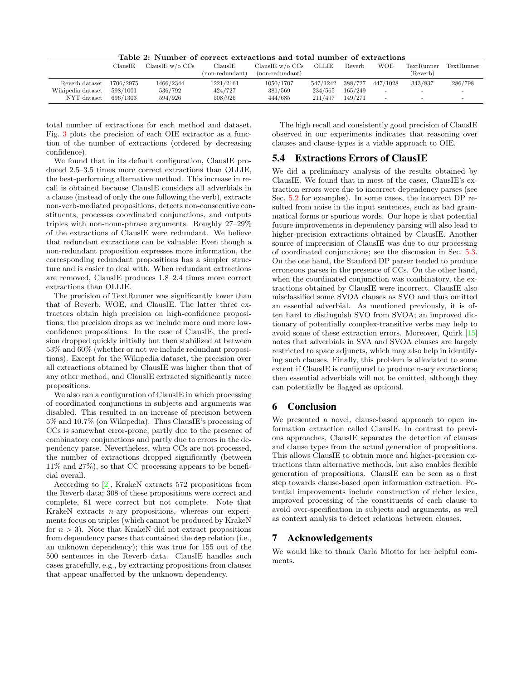<span id="page-8-1"></span>

|--|

|                   | ClausIE   | ClausIE $w/o$ CCs | ClausIE           | ClausIE $w/o$ CCs | OLLIE    | Reverb  | <b>WOE</b>               | TextRunner               | TextRunner |
|-------------------|-----------|-------------------|-------------------|-------------------|----------|---------|--------------------------|--------------------------|------------|
|                   |           |                   | $(non-redundant)$ | $(non-redundant)$ |          |         |                          | (Reverb)                 |            |
| Reverb dataset    | 1706/2975 | 1466/2344         | 1221/2161         | 1050/1707         | 547/1242 | 388/727 | 447/1028                 | 343/837                  | 286/798    |
| Wikipedia dataset | 598/1001  | 536/792           | 424/727           | 381/569           | 234/565  | 165/249 | $\overline{\phantom{0}}$ | $\sim$                   | $\sim$     |
| NYT dataset       | 696/1303  | 594/926           | 508/926           | 444/685           | 211/497  | 149/271 | $\overline{\phantom{a}}$ | $\overline{\phantom{0}}$ |            |

total number of extractions for each method and dataset. Fig. [3](#page-7-0) plots the precision of each OIE extractor as a function of the number of extractions (ordered by decreasing confidence).

We found that in its default configuration, ClausIE produced 2.5–3.5 times more correct extractions than OLLIE, the best-performing alternative method. This increase in recall is obtained because ClausIE considers all adverbials in a clause (instead of only the one following the verb), extracts non-verb-mediated propositions, detects non-consecutive constituents, processes coordinated conjunctions, and outputs triples with non-noun-phrase arguments. Roughly 27–29% of the extractions of ClausIE were redundant. We believe that redundant extractions can be valuable: Even though a non-redundant proposition expresses more information, the corresponding redundant propositions has a simpler structure and is easier to deal with. When redundant extractions are removed, ClausIE produces 1.8–2.4 times more correct extractions than OLLIE.

The precision of TextRunner was significantly lower than that of Reverb, WOE, and ClausIE. The latter three extractors obtain high precision on high-confidence propositions; the precision drops as we include more and more lowconfidence propositions. In the case of ClausIE, the precision dropped quickly initially but then stabilized at between 53% and 60% (whether or not we include redundant propositions). Except for the Wikipedia dataset, the precision over all extractions obtained by ClausIE was higher than that of any other method, and ClausIE extracted significantly more propositions.

We also ran a configuration of ClausIE in which processing of coordinated conjunctions in subjects and arguments was disabled. This resulted in an increase of precision between 5% and 10.7% (on Wikipedia). Thus ClausIE's processing of CCs is somewhat error-prone, partly due to the presence of combinatory conjunctions and partly due to errors in the dependency parse. Nevertheless, when CCs are not processed, the number of extractions dropped significantly (between 11% and 27%), so that CC processing appears to be beneficial overall.

According to [\[2\]](#page-10-1), KrakeN extracts 572 propositions from the Reverb data; 308 of these propositions were correct and complete, 81 were correct but not complete. Note that KrakeN extracts n-ary propositions, whereas our experiments focus on triples (which cannot be produced by KrakeN for  $n > 3$ ). Note that KrakeN did not extract propositions from dependency parses that contained the dep relation (i.e., an unknown dependency); this was true for 155 out of the 500 sentences in the Reverb data. ClausIE handles such cases gracefully, e.g., by extracting propositions from clauses that appear unaffected by the unknown dependency.

The high recall and consistently good precision of ClausIE observed in our experiments indicates that reasoning over clauses and clause-types is a viable approach to OIE.

#### 5.4 Extractions Errors of ClausIE

We did a preliminary analysis of the results obtained by ClausIE. We found that in most of the cases, ClausIE's extraction errors were due to incorrect dependency parses (see Sec. [5.2](#page-6-3) for examples). In some cases, the incorrect DP resulted from noise in the input sentences, such as bad grammatical forms or spurious words. Our hope is that potential future improvements in dependency parsing will also lead to higher-precision extractions obtained by ClausIE. Another source of imprecision of ClausIE was due to our processing of coordinated conjunctions; see the discussion in Sec. [5.3.](#page-7-1) On the one hand, the Stanford DP parser tended to produce erroneous parses in the presence of CCs. On the other hand, when the coordinated conjunction was combinatory, the extractions obtained by ClausIE were incorrect. ClausIE also misclassified some SVOA clauses as SVO and thus omitted an essential adverbial. As mentioned previously, it is often hard to distinguish SVO from SVOA; an improved dictionary of potentially complex-transitive verbs may help to avoid some of these extraction errors. Moreover, Quirk [\[15\]](#page-10-15) notes that adverbials in SVA and SVOA clauses are largely restricted to space adjuncts, which may also help in identifying such clauses. Finally, this problem is alleviated to some extent if ClausIE is configured to produce n-ary extractions; then essential adverbials will not be omitted, although they can potentially be flagged as optional.

## <span id="page-8-0"></span>6 Conclusion

We presented a novel, clause-based approach to open information extraction called ClausIE. In contrast to previous approaches, ClausIE separates the detection of clauses and clause types from the actual generation of propositions. This allows ClausIE to obtain more and higher-precision extractions than alternative methods, but also enables flexible generation of propositions. ClausIE can be seen as a first step towards clause-based open information extraction. Potential improvements include construction of richer lexica, improved processing of the constituents of each clause to avoid over-specification in subjects and arguments, as well as context analysis to detect relations between clauses.

## 7 Acknowledgements

We would like to thank Carla Miotto for her helpful comments.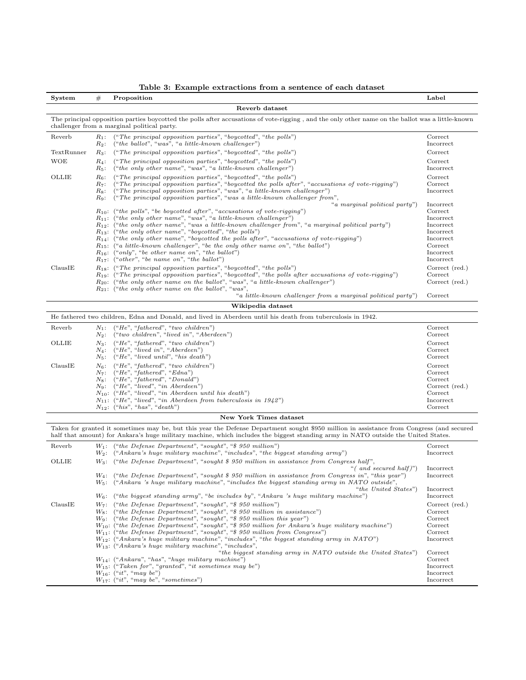<span id="page-9-0"></span>Table 3: Example extractions from a sentence of each dataset

| System     | #                                        | Proposition                                                                                                                                                                                                                                                                                                                                                                                                                                                                                                                                                                                                                                                              | Label                                                                                                         |
|------------|------------------------------------------|--------------------------------------------------------------------------------------------------------------------------------------------------------------------------------------------------------------------------------------------------------------------------------------------------------------------------------------------------------------------------------------------------------------------------------------------------------------------------------------------------------------------------------------------------------------------------------------------------------------------------------------------------------------------------|---------------------------------------------------------------------------------------------------------------|
|            |                                          | Reverb dataset                                                                                                                                                                                                                                                                                                                                                                                                                                                                                                                                                                                                                                                           |                                                                                                               |
|            |                                          | The principal opposition parties boycotted the polls after accusations of vote-rigging, and the only other name on the ballot was a little-known<br>challenger from a marginal political party.                                                                                                                                                                                                                                                                                                                                                                                                                                                                          |                                                                                                               |
| Reverb     | $R_1$ :<br>$R_2$ :                       | $("The principal opposition parties", "boycotted", "the polls")$<br>$("the\; \textit{ballot", "was", "a little-known\; \textit{challenger"}})$                                                                                                                                                                                                                                                                                                                                                                                                                                                                                                                           | Correct<br>Incorrect                                                                                          |
| TextRunner | $R_3$ :                                  | $("The principal opposition parties", "boycotted", "the polls")$                                                                                                                                                                                                                                                                                                                                                                                                                                                                                                                                                                                                         | Correct                                                                                                       |
| <b>WOE</b> | $R_4$ :<br>$R_5$ :                       | $("The principal opposition parties", "boycotted", "the polls")$<br>("the only other name", "was", "a little-known challenger")                                                                                                                                                                                                                                                                                                                                                                                                                                                                                                                                          | Correct<br>Incorrect                                                                                          |
| OLLIE      | $R_6$ :<br>$R_7$ :<br>Rs:<br>$R_9$ :     | $("The principal opposition parties", "boycotted", "the polls")$<br>("The principal opposition parties", "boycotted the polls after", "accusations of vote-rigging")<br>("The principal opposition parties", "was", "a little-known challenger")<br>("The principal opposition parties", "was a little-known challenger from",                                                                                                                                                                                                                                                                                                                                           | Correct<br>Correct<br>Incorrect                                                                               |
|            |                                          | "a marginal political party")<br>$R_{10}$ : ("the polls", "be boycotted after", "accusations of vote-rigging")<br>$R_{11}$ : ("the only other name", "was", "a little-known challenger")<br>$R_{12}$ : ("the only other name", "was a little-known challenger from", "a marginal political party")<br>$R_{13}$ : ("the only other name", "boycotted", "the polls")<br>$R_{14}$ : ("the only other name", "boycotted the polls after", "accusations of vote-rigging")<br>$R_{15}$ : ("a little-known challenger", "be the only other name on", "the ballot")<br>$R_{16}$ : ("only", "be other name on", "the ballot")<br>$R_{17}$ : ("other", "be name on", "the ballot") | Incorrect<br>Correct<br>Incorrect<br>Incorrect<br>Incorrect<br>Incorrect<br>Correct<br>Incorrect<br>Incorrect |
| ClausIE    |                                          | $R_{18}$ : ("The principal opposition parties", "boycotted", "the polls")<br>$R_{19}$ : ("The principal opposition parties", "boycotted", "the polls after accusations of vote-rigging")<br>$R_{20}$ : ("the only other name on the ballot", "was", "a little-known challenger")<br>$R_{21}$ : ("the only other name on the ballot", "was",<br>"a little-known challenger from a marginal political party")                                                                                                                                                                                                                                                              | Correct (red.)<br>Correct<br>Correct (red.)<br>Correct                                                        |
|            |                                          | Wikipedia dataset                                                                                                                                                                                                                                                                                                                                                                                                                                                                                                                                                                                                                                                        |                                                                                                               |
|            |                                          | He fathered two children, Edna and Donald, and lived in Aberdeen until his death from tuberculosis in 1942.                                                                                                                                                                                                                                                                                                                                                                                                                                                                                                                                                              |                                                                                                               |
| Reverb     | $N_1$ :<br>$N_2$ :                       | ("He", "fathered", "two children")<br>$("two \ children", "lived in", "Aberdeen")$                                                                                                                                                                                                                                                                                                                                                                                                                                                                                                                                                                                       | Correct<br>Correct                                                                                            |
| OLLIE      | $N_3$ :<br>$N_4$ :<br>$N_5$ :            | ("He", "fathered", "two children")<br>("He", "lived in", "Aberdeen")<br>("He", "lived until", "his death")                                                                                                                                                                                                                                                                                                                                                                                                                                                                                                                                                               | Correct<br>Correct<br>Correct                                                                                 |
| ClausIE    | $N_6$ :<br>$N_7$ :<br>$N_8$ :<br>$N_9$ : | ("He", "fathered", "two children")<br>("He", "fathered", "Edna")<br>$(*He", "fathered", "Donald")$<br>$(*He", "lived", "in Aberdeen")$<br>$N_{10}$ : ("He", "lived", "in Aberdeen until his death")<br>$N_{11}$ : ("He", "lived", "in Aberdeen from tuberculosis in 1942")<br>$N_{12}$ : ("his", "has", "death")                                                                                                                                                                                                                                                                                                                                                         | Correct<br>Correct<br>Correct<br>Correct (red.)<br>Correct<br>Incorrect<br>Correct                            |
|            |                                          | New York Times dataset                                                                                                                                                                                                                                                                                                                                                                                                                                                                                                                                                                                                                                                   |                                                                                                               |
|            |                                          | Taken for granted it sometimes may be, but this year the Defense Department sought \$950 million in assistance from Congress (and secured<br>half that amount) for Ankara's huge military machine, which includes the biggest standing army in NATO outside the United States.                                                                                                                                                                                                                                                                                                                                                                                           |                                                                                                               |
| Reverb     |                                          | $W_1$ : ("the Defense Department", "sought", "\$ 950 million")<br>$W_2$ : ("Ankara's huge military machine", "includes", "the biggest standing army")                                                                                                                                                                                                                                                                                                                                                                                                                                                                                                                    | Correct<br>Incorrect                                                                                          |
| OLLIE      |                                          | $W_3$ : ("the Defense Department", "sought \$ 950 million in assistance from Congress half",                                                                                                                                                                                                                                                                                                                                                                                                                                                                                                                                                                             |                                                                                                               |
|            |                                          | "( and secured half)")<br>$W_4$ : ("the Defense Department", "sought \$ 950 million in assistance from Congress in", "this year")<br>$W_5$ : ("Ankara 's huge military machine", "includes the biggest standing army in NATO outside".<br>"the United States")                                                                                                                                                                                                                                                                                                                                                                                                           | Incorrect<br>Incorrect<br>Incorrect                                                                           |
|            |                                          | $W_6$ : ("the biggest standing army", "be includes by", "Ankara 's huge military machine")                                                                                                                                                                                                                                                                                                                                                                                                                                                                                                                                                                               | Incorrect                                                                                                     |
| ClausIE    |                                          | $W_7$ : ("the Defense Department", "sought", "\$ 950 million")<br>$W_{\alpha}$ , ("the Defense Department" "sequalit" " $\&$ 050 million in assistance")                                                                                                                                                                                                                                                                                                                                                                                                                                                                                                                 | Correct (red.)<br>$C$ orroct                                                                                  |

| ("the Defense Department", "sought", "\$ 950 million in assistance")<br>$W_{\rm 8}$ :                | $\emph{Correct}$ |
|------------------------------------------------------------------------------------------------------|------------------|
| $W_9$ : ("the Defense Department", "sought", "\$ 950 million this year")                             | Correct          |
| $W_{10}$ : ("the Defense Department", "sought", "\$ 950 million for Ankara's huge military machine") | $\emph{Correct}$ |
| $W_{11}$ : ("the Defense Department", "sought", "\$ 950 million from Congress")                      | Correct          |
| $W_{12}$ : ("Ankara's huge military machine", "includes", "the biggest standing army in NATO")       | Incorrect        |
| $W_{13}$ : ("Ankara's huge military machine", "includes",                                            |                  |
| "the biggest standing army in NATO outside the United States")                                       | Correct          |
| $W_{14}$ : ("Ankara", "has", "huge military machine")                                                | Correct          |
| $W_{15}$ : ("Taken for", "granted", "it sometimes may be")                                           | Incorrect        |
| $W_{16}$ : (" <i>it</i> ", "may be")                                                                 | Incorrect        |
| $W_{17}$ : ("it", "may be", "sometimes")                                                             | Incorrect        |
|                                                                                                      |                  |